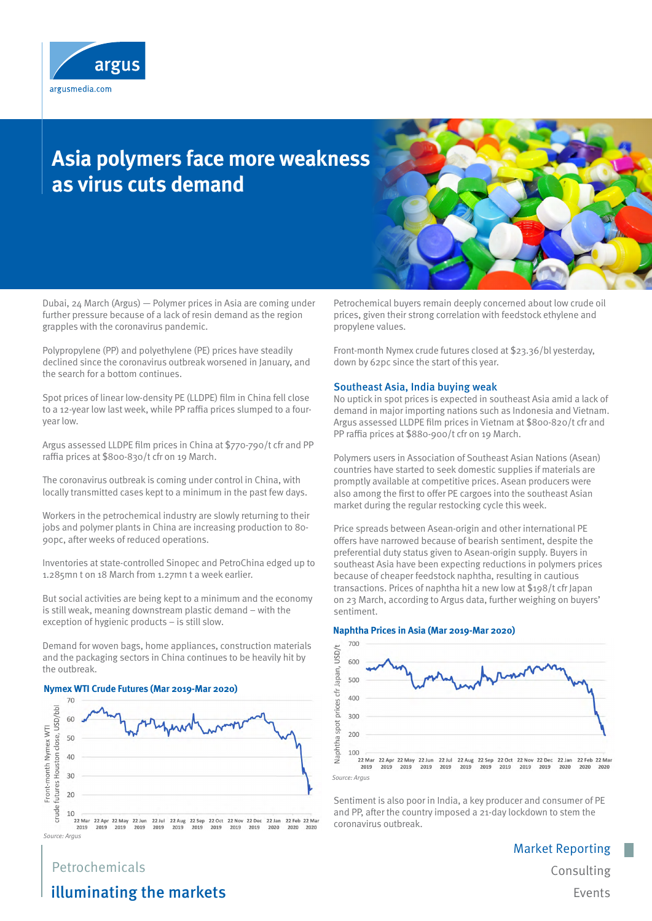

# **Asia polymers face more weakness as virus cuts demand**



Dubai, 24 March (Argus) — Polymer prices in Asia are coming under further pressure because of a lack of resin demand as the region grapples with the coronavirus pandemic.

Polypropylene (PP) and polyethylene (PE) prices have steadily declined since the coronavirus outbreak worsened in January, and the search for a bottom continues.

Spot prices of linear low-density PE (LLDPE) film in China fell close to a 12-year low last week, while PP raffia prices slumped to a fouryear low.

Argus assessed LLDPE film prices in China at \$770-790/t cfr and PP raffia prices at \$800-830/t cfr on 19 March.

The coronavirus outbreak is coming under control in China, with locally transmitted cases kept to a minimum in the past few days.

Workers in the petrochemical industry are slowly returning to their jobs and polymer plants in China are increasing production to 80- 90pc, after weeks of reduced operations.

Inventories at state-controlled Sinopec and PetroChina edged up to 1.285mn t on 18 March from 1.27mn t a week earlier.

But social activities are being kept to a minimum and the economy is still weak, meaning downstream plastic demand – with the exception of hygienic products – is still slow.

Demand for woven bags, home appliances, construction materials and the packaging sectors in China continues to be heavily hit by the outbreak.

## **Nymex WTI Crude Futures (Mar 2019-Mar 2020)**



*Source: Argus*

Petrochemical buyers remain deeply concerned about low crude oil prices, given their strong correlation with feedstock ethylene and propylene values.

Front-month Nymex crude futures closed at \$23.36/bl yesterday, down by 62pc since the start of this year.

#### Southeast Asia, India buying weak

No uptick in spot prices is expected in southeast Asia amid a lack of demand in major importing nations such as Indonesia and Vietnam. Argus assessed LLDPE film prices in Vietnam at \$800-820/t cfr and PP raffia prices at \$880-900/t cfr on 19 March.

Polymers users in Association of Southeast Asian Nations (Asean) countries have started to seek domestic supplies if materials are promptly available at competitive prices. Asean producers were also among the first to offer PE cargoes into the southeast Asian market during the regular restocking cycle this week.

Price spreads between Asean-origin and other international PE offers have narrowed because of bearish sentiment, despite the preferential duty status given to Asean-origin supply. Buyers in southeast Asia have been expecting reductions in polymers prices because of cheaper feedstock naphtha, resulting in cautious transactions. Prices of naphtha hit a new low at \$198/t cfr Japan on 23 March, according to Argus data, further weighing on buyers' sentiment.

#### **Naphtha Prices in Asia (Mar 2019-Mar 2020)**



*Source: Argus*

Sentiment is also poor in India, a key producer and consumer of PE and PP, after the country imposed a 21-day lockdown to stem the coronavirus outbreak.

> Market Reporting Consulting Events

## Petrochemicals illuminating the markets